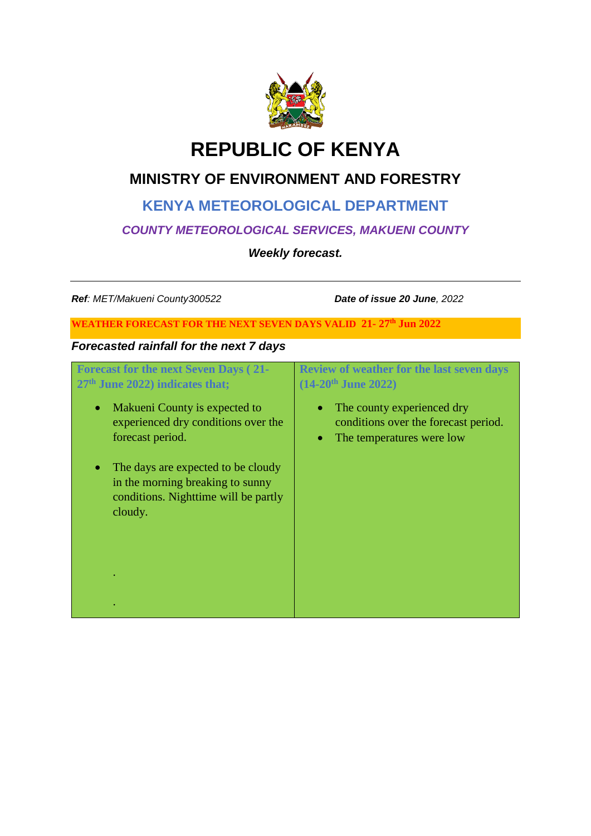

# **REPUBLIC OF KENYA**

## **MINISTRY OF ENVIRONMENT AND FORESTRY**

### **KENYA METEOROLOGICAL DEPARTMENT**

### *COUNTY METEOROLOGICAL SERVICES, MAKUENI COUNTY*

*Weekly forecast.*

*Ref: MET/Makueni County300522 Date of issue 20 June, 2022*

#### **WEATHER FORECAST FOR THE NEXT SEVEN DAYS VALID 21- 27th Jun 2022**

### *Forecasted rainfall for the next 7 days*

| <b>Forecast for the next Seven Days (21-</b><br>27 <sup>th</sup> June 2022) indicates that;                               | <b>Review of weather for the last seven days</b><br>$(14-20^{\text{th}})$ June 2022)            |
|---------------------------------------------------------------------------------------------------------------------------|-------------------------------------------------------------------------------------------------|
| Makueni County is expected to<br>$\bullet$<br>experienced dry conditions over the<br>forecast period.                     | The county experienced dry<br>conditions over the forecast period.<br>The temperatures were low |
| The days are expected to be cloudy<br>in the morning breaking to sunny<br>conditions. Nighttime will be partly<br>cloudy. |                                                                                                 |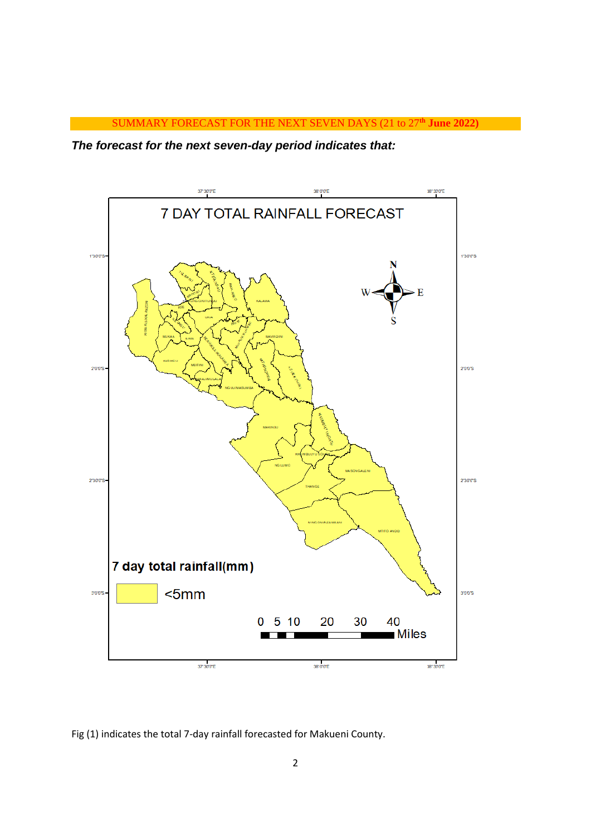

*The forecast for the next seven-day period indicates that:* 



Fig (1) indicates the total 7-day rainfall forecasted for Makueni County.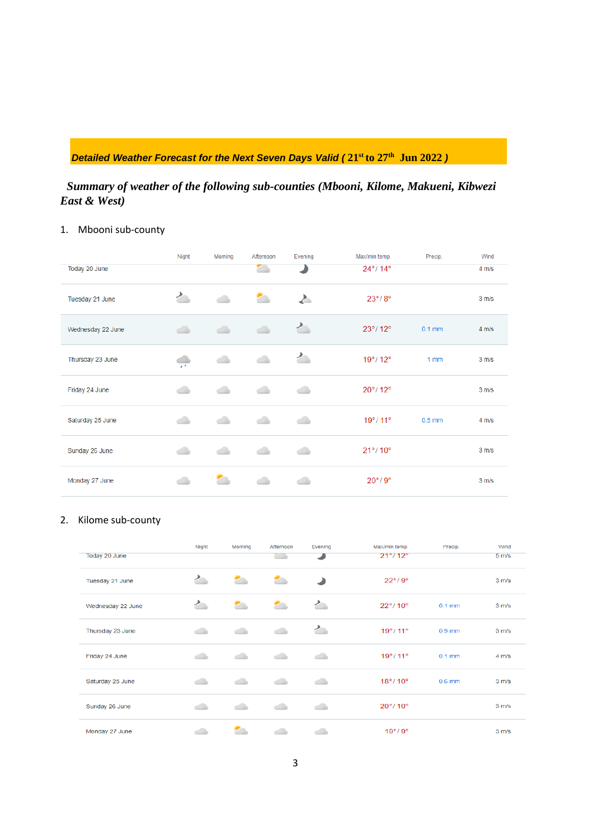### *Detailed Weather Forecast for the Next Seven Days Valid (* **21st to 27th Jun 2022** *)*

### *Summary of weather of the following sub-counties (Mbooni, Kilome, Makueni, Kibwezi East & West)*

### 1. Mbooni sub-county

|                   | Night            | Morning | Afternoon   | Evening | Max/min temp.                | Precip.  | Wind              |
|-------------------|------------------|---------|-------------|---------|------------------------------|----------|-------------------|
| Today 20 June     |                  |         | E.          |         | $24^{\circ}/14^{\circ}$      |          | 4 m/s             |
| Tuesday 21 June   | $\sum_{i=1}^{n}$ |         |             | ∠       | $23^\circ/8^\circ$           |          | 3 m/s             |
| Wednesday 22 June | $\triangle$      | ک       | $\triangle$ | 亼       | $23^{\circ}$ /12°            | $0.1$ mm | $4 \, \text{m/s}$ |
| Thursday 23 June  |                  |         |             | 亼       | $19^{\circ}$ / 12 $^{\circ}$ | 1mm      | 3 m/s             |
| Friday 24 June    | ۸                |         | ۸           | گ       | $20^{\circ}/12^{\circ}$      |          | 3 m/s             |
| Saturday 25 June  | ذک               | خانہ    | خان         | خانہ    | $19^{\circ}$ / 11°           | $0.5$ mm | $4 \, \text{m/s}$ |
| Sunday 26 June    |                  |         |             | ک       | $21^{\circ}/10^{\circ}$      |          | 3 m/s             |
| Monday 27 June    |                  |         |             |         | $20^{\circ}/9^{\circ}$       |          | 3 m/s             |

### 2. Kilome sub-county

| Today 20 June     | Night | <b>Morning</b> | Afternoon<br>المنتبع | Evening | Max/min temp.<br>$21^{\circ}$ / 12 $^{\circ}$ | Precip.  | Wind<br>5 <sub>m/s</sub> |
|-------------------|-------|----------------|----------------------|---------|-----------------------------------------------|----------|--------------------------|
| Tuesday 21 June   | ৴     |                | <b>2000</b>          |         | $22^{\circ}/9^{\circ}$                        |          | 3 m/s                    |
| Wednesday 22 June | ৴     |                |                      | ৴       | $22^{\circ}$ /10 $^{\circ}$                   | $0.1$ mm | 3 m/s                    |
| Thursday 23 June  | ڪ     | - 1            | خاند                 | 宀       | $19^{\circ}$ / 11 $^{\circ}$                  | $0.9$ mm | 3 m/s                    |
| Friday 24 June    | خاند  |                | د                    | ک       | $19^{\circ}$ / 11 $^{\circ}$                  | $0.1$ mm | $4 \, \text{m/s}$        |
| Saturday 25 June  | ڪ     | خالد           | ذله                  | دان     | $18^{\circ}/ 10^{\circ}$                      | $0.6$ mm | 3 m/s                    |
| Sunday 26 June    |       |                |                      | د       | $20^{\circ}$ / 10 $^{\circ}$                  |          | 3 m/s                    |
| Monday 27 June    |       |                |                      |         | $19^\circ/9^\circ$                            |          | 3 m/s                    |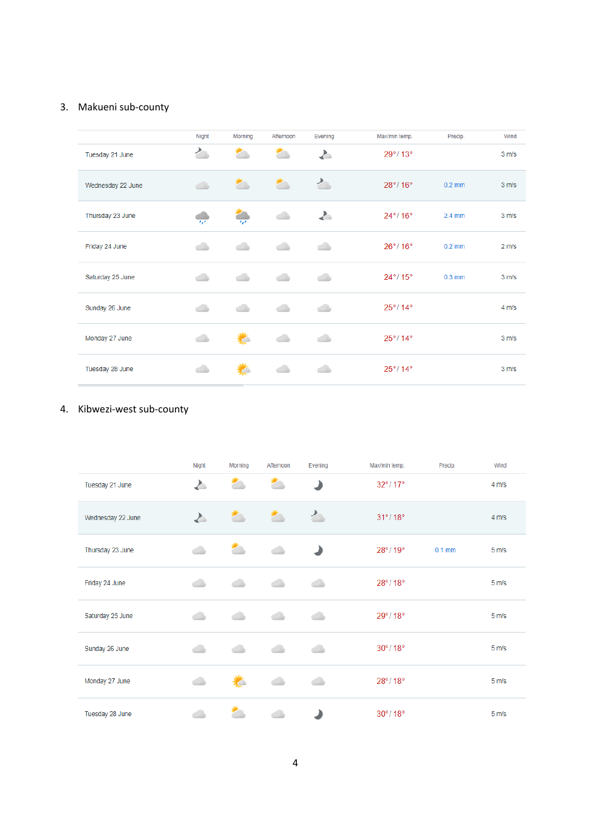#### 3. Makueni sub-county

|                   | Night                       | Morning      | Afternoon | Evening | Max/min temp.                | Precip.  | Wind              |
|-------------------|-----------------------------|--------------|-----------|---------|------------------------------|----------|-------------------|
| Tuesday 21 June   | ৴                           | σ,           | ≛         | Δ       | $29^{\circ}$ /13 $^{\circ}$  |          | 3 m/s             |
| Wednesday 22 June | گ                           | Σ.           | z,        | ৴       | $28^{\circ}$ /16°            | $0.2$ mm | 3 m/s             |
| Thursday 23 June  | $\mathcal{L}_{\mathcal{F}}$ | $\mathbf{r}$ |           | $\geq$  | $24^{\circ}$ / 16°           | $2.4$ mm | 3 m/s             |
| Friday 24 June    |                             |              |           |         | $26^{\circ}$ / 16 $^{\circ}$ | $0.2$ mm | 2 m/s             |
| Saturday 25 June  |                             |              |           |         | $24^{\circ}$ / 15 $^{\circ}$ | $0.3$ mm | 3 m/s             |
| Sunday 26 June    |                             |              |           |         | $25^{\circ}$ /14 $^{\circ}$  |          | $4 \, \text{m/s}$ |
| Monday 27 June    |                             | 芒            |           |         | $25^{\circ}$ /14 $^{\circ}$  |          | 3 m/s             |
| Tuesday 28 June   |                             |              |           |         | $25^{\circ}$ /14°            |          | 3 m/s             |

### 4. Kibwezi-west sub-county

|                   | Night    | <b>Morning</b> | Afternoon | Evening | Max/min temp.               | Precip.  | Wind              |
|-------------------|----------|----------------|-----------|---------|-----------------------------|----------|-------------------|
| Tuesday 21 June   | <b>A</b> | ≛              | ≛         |         | $32^{\circ}/17^{\circ}$     |          | $4 \, \text{m/s}$ |
| Wednesday 22 June | Σ.       | ≛              | ≛         | ぐ       | $31^{\circ}/18^{\circ}$     |          | $4 \, \text{m/s}$ |
| Thursday 23 June  | خانہ     | z,             | ۸         |         | $28^{\circ}$ /19 $^{\circ}$ | $0.1$ mm | 5 <sub>m/s</sub>  |
| Friday 24 June    | - 1      |                |           |         | $28^{\circ}$ /18 $^{\circ}$ |          | 5 <sub>m/s</sub>  |
| Saturday 25 June  |          |                |           |         | $29^{\circ}$ /18 $^{\circ}$ |          | 5 <sub>m/s</sub>  |
| Sunday 26 June    | - 1      |                |           | - 1     | $30^{\circ}$ /18 $^{\circ}$ |          | 5 <sub>m/s</sub>  |
| Monday 27 June    | œ        | C              |           |         | $28^{\circ}$ /18 $^{\circ}$ |          | 5 <sub>m/s</sub>  |
| Tuesday 28 June   |          |                |           |         | $30^{\circ}/18^{\circ}$     |          | 5 <sub>m/s</sub>  |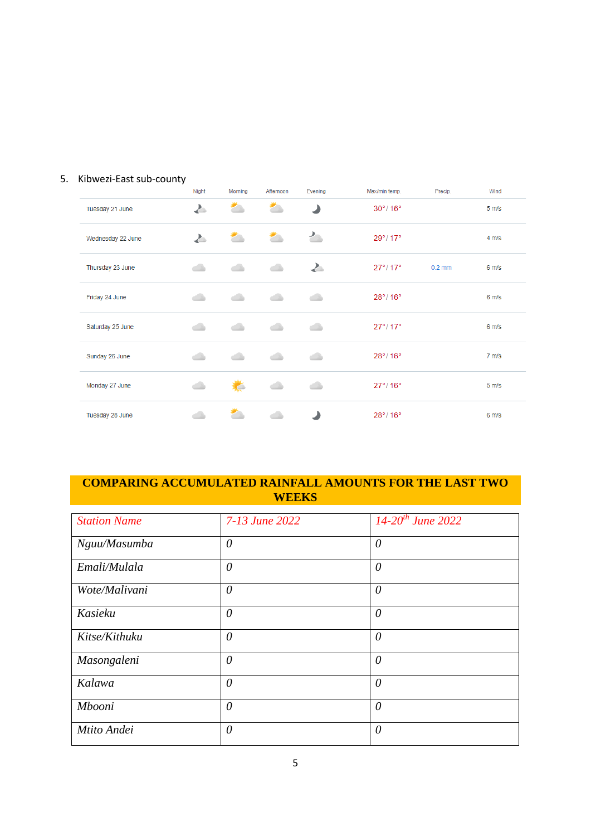### 5. Kibwezi-East sub-county

|                   | Night | Morning | Afternoon | Evening  | Max/min temp.               | Precip.  | Wind             |
|-------------------|-------|---------|-----------|----------|-----------------------------|----------|------------------|
| Tuesday 21 June   | ≱     | z.      | z.        | ℶ        | $30^\circ/16^\circ$         |          | 5 <sub>m/s</sub> |
| Wednesday 22 June | と     |         |           | ৴        | $29^{\circ}$ /17 $^{\circ}$ |          | 4 m/s            |
| Thursday 23 June  | گ     |         | د         | <b>A</b> | $27^{\circ}$ /17 $^{\circ}$ | $0.2$ mm | 6 <sub>m/s</sub> |
| Friday 24 June    | ۸     |         |           | ٨        | $28^{\circ}$ /16°           |          | 6 <sub>m/s</sub> |
| Saturday 25 June  | خان   | ذله     | د         | گ        | $27^{\circ}/17^{\circ}$     |          | 6 m/s            |
| Sunday 26 June    |       |         |           | ۸        | $28^{\circ}$ /16 $^{\circ}$ |          | 7 <sub>m/s</sub> |
| Monday 27 June    |       | C       |           | œ        | $27^{\circ}$ /16°           |          | 5 <sub>m/s</sub> |
| Tuesday 28 June   |       |         |           |          | $28^{\circ}$ /16°           |          | 6 m/s            |

### **COMPARING ACCUMULATED RAINFALL AMOUNTS FOR THE LAST TWO WEEKS**

| <b>Station Name</b> | 7-13 June 2022 | $14 - 20$ <sup>th</sup> June 2022 |
|---------------------|----------------|-----------------------------------|
| Nguu/Masumba        | $\theta$       | 0                                 |
| Emali/Mulala        | $\theta$       | $\theta$                          |
| Wote/Malivani       | $\theta$       | $\theta$                          |
| Kasieku             | $\theta$       | $\theta$                          |
| Kitse/Kithuku       | $\theta$       | $\theta$                          |
| Masongaleni         | $\theta$       | $\theta$                          |
| Kalawa              | $\theta$       | $\theta$                          |
| Mbooni              | $\theta$       | $\theta$                          |
| Mtito Andei         | $\theta$       | $\theta$                          |